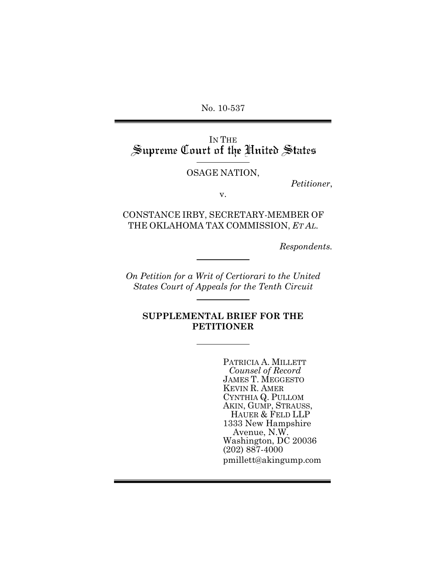No. 10-537

IN THE<br>Supreme Court of the United States

OSAGE NATION,

*Petitioner*,

v.

CONSTANCE IRBY, SECRETARY-MEMBER OF THE OKLAHOMA TAX COMMISSION, *ET AL.*

*Respondents.*

*On Petition for a Writ of Certiorari to the United States Court of Appeals for the Tenth Circuit*

**SUPPLEMENTAL BRIEF FOR THE PETITIONER**

> PATRICIA A. MILLETT *Counsel of Record* JAMES T. MEGGESTO KEVIN R. AMER CYNTHIA Q. PULLOM AKIN, GUMP, STRAUSS, HAUER & FELD LLP 1333 New Hampshire Avenue, N.W. Washington, DC 20036 (202) 887-4000 pmillett@akingump.com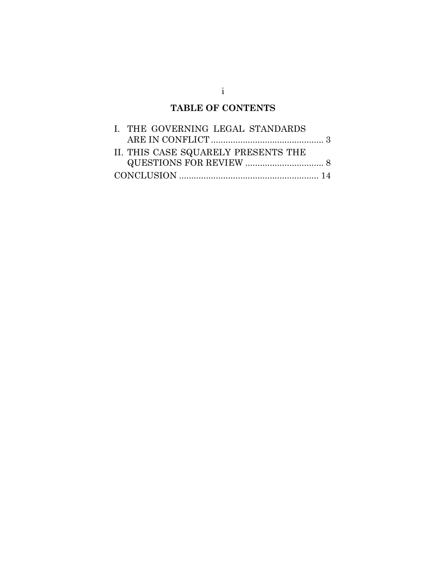## **TABLE OF CONTENTS**

| I. THE GOVERNING LEGAL STANDARDS    |  |
|-------------------------------------|--|
|                                     |  |
| II. THIS CASE SQUARELY PRESENTS THE |  |
|                                     |  |
|                                     |  |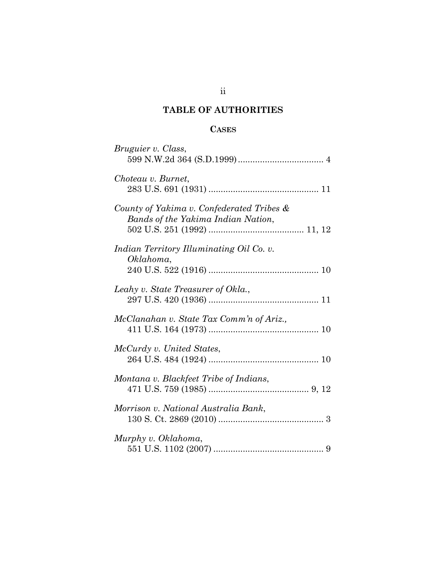### **TABLE OF AUTHORITIES**

#### **CASES**

| Bruguier v. Class,                                                              |
|---------------------------------------------------------------------------------|
| Choteau v. Burnet,                                                              |
| County of Yakima v. Confederated Tribes &<br>Bands of the Yakima Indian Nation, |
| Indian Territory Illuminating Oil Co. v.<br>Oklahoma,                           |
| Leahy v. State Treasurer of Okla.,                                              |
| McClanahan v. State Tax Comm'n of Ariz.,                                        |
| McCurdy v. United States,                                                       |
| Montana v. Blackfeet Tribe of Indians,                                          |
| Morrison v. National Australia Bank,                                            |
| Murphy v. Oklahoma,                                                             |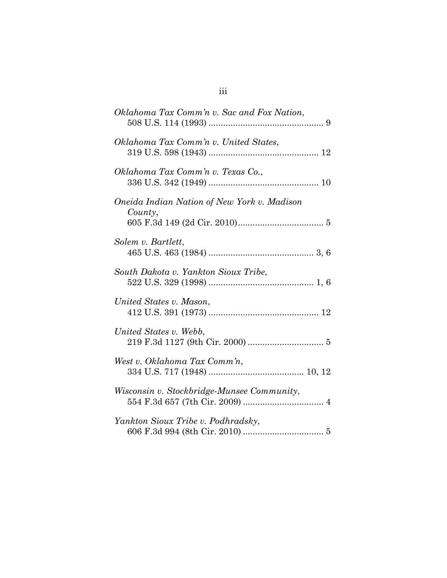| Oklahoma Tax Comm'n v. Sac and Fox Nation,             |
|--------------------------------------------------------|
| Oklahoma Tax Comm'n v. United States,                  |
| Oklahoma Tax Comm'n v. Texas Co.,                      |
| Oneida Indian Nation of New York v. Madison<br>County, |
| Solem v. Bartlett,                                     |
| South Dakota v. Yankton Sioux Tribe,                   |
| United States v. Mason,                                |
| United States v. Webb,                                 |
| West v. Oklahoma Tax Comm'n,                           |
| Wisconsin v. Stockbridge-Munsee Community,             |
| Yankton Sioux Tribe v. Podhradsky,                     |

# iii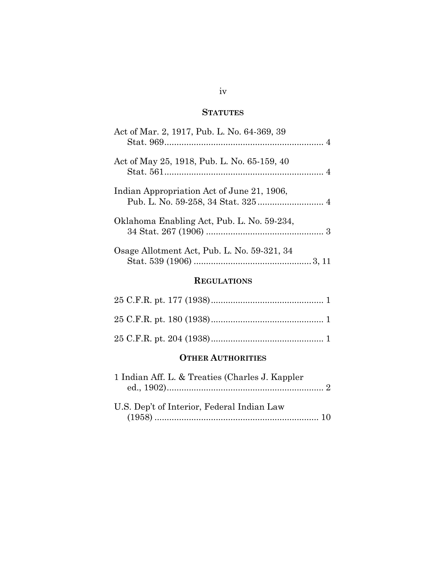### **STATUTES**

| Act of Mar. 2, 1917, Pub. L. No. 64-369, 39 |
|---------------------------------------------|
| Act of May 25, 1918, Pub. L. No. 65-159, 40 |
| Indian Appropriation Act of June 21, 1906,  |
| Oklahoma Enabling Act, Pub. L. No. 59-234,  |
| Osage Allotment Act, Pub. L. No. 59-321, 34 |

### **REGULATIONS**

#### **OTHER AUTHORITIES**

| 1 Indian Aff. L. & Treaties (Charles J. Kappler) |  |
|--------------------------------------------------|--|
|                                                  |  |
| U.S. Dep't of Interior, Federal Indian Law       |  |
|                                                  |  |

#### iv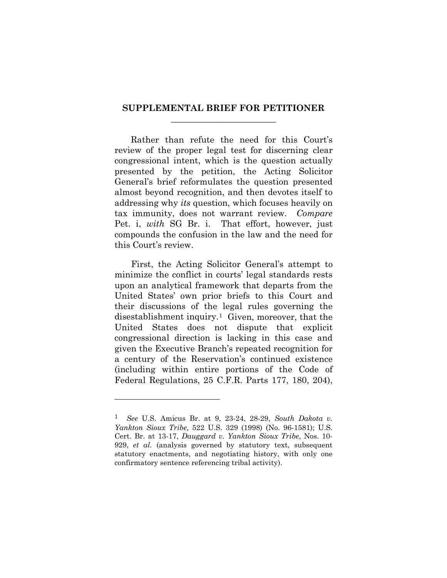#### **SUPPLEMENTAL BRIEF FOR PETITIONER \_\_\_\_\_\_\_\_\_\_\_\_\_\_\_\_\_\_\_\_\_\_\_\_**

Rather than refute the need for this Court's review of the proper legal test for discerning clear congressional intent, which is the question actually presented by the petition, the Acting Solicitor General's brief reformulates the question presented almost beyond recognition, and then devotes itself to addressing why *its* question, which focuses heavily on tax immunity, does not warrant review. *Compare*  Pet. i, *with* SG Br. i. That effort, however, just compounds the confusion in the law and the need for this Court's review.

First, the Acting Solicitor General's attempt to minimize the conflict in courts' legal standards rests upon an analytical framework that departs from the United States' own prior briefs to this Court and their discussions of the legal rules governing the disestablishment inquiry.[1](#page-5-2) Given, moreover, that the United States does not dispute that explicit congressional direction is lacking in this case and given the Executive Branch's repeated recognition for a century of the Reservation's continued existence (including within entire portions of the Code of Federal Regulations, 25 C.F.R. Parts 177, 180, 204),

<span id="page-5-1"></span><span id="page-5-0"></span>-

<span id="page-5-2"></span><sup>1</sup> *See* U.S. Amicus Br. at 9, 23-24, 28-29, *South Dakota v. Yankton Sioux Tribe*, 522 U.S. 329 (1998) (No. 96-1581); U.S. Cert. Br. at 13-17, *Dauggard v. Yankton Sioux Tribe*, Nos. 10- 929, *et al.* (analysis governed by statutory text, subsequent statutory enactments, and negotiating history, with only one confirmatory sentence referencing tribal activity).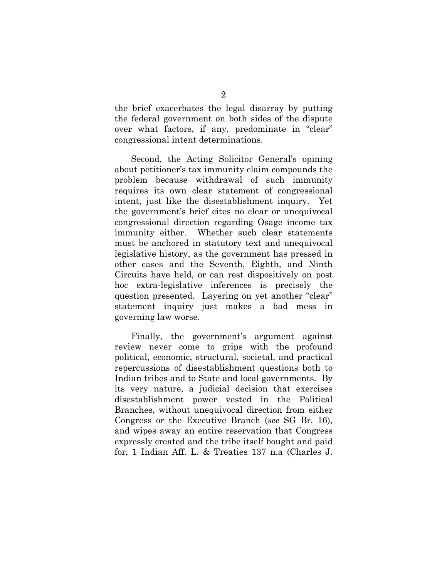the brief exacerbates the legal disarray by putting the federal government on both sides of the dispute over what factors, if any, predominate in "clear" congressional intent determinations.

Second, the Acting Solicitor General's opining about petitioner's tax immunity claim compounds the problem because withdrawal of such immunity requires its own clear statement of congressional intent, just like the disestablishment inquiry. Yet the government's brief cites no clear or unequivocal congressional direction regarding Osage income tax immunity either. Whether such clear statements must be anchored in statutory text and unequivocal legislative history, as the government has pressed in other cases and the Seventh, Eighth, and Ninth Circuits have held, or can rest dispositively on post hoc extra-legislative inferences is precisely the question presented. Layering on yet another "clear" statement inquiry just makes a bad mess in governing law worse.

Finally, the government's argument against review never come to grips with the profound political, economic, structural, societal, and practical repercussions of disestablishment questions both to Indian tribes and to State and local governments. By its very nature, a judicial decision that exercises disestablishment power vested in the Political Branches, without unequivocal direction from either Congress or the Executive Branch (*see* SG Br. 16), and wipes away an entire reservation that Congress expressly created and the tribe itself bought and paid for, 1 Indian Aff. L. & Treaties 137 n.a (Charles J.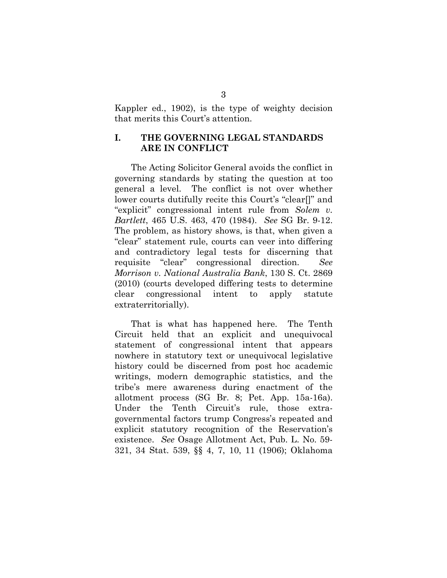Kappler ed., 1902), is the type of weighty decision that merits this Court's attention.

#### **I. THE GOVERNING LEGAL STANDARDS ARE IN CONFLICT**

<span id="page-7-1"></span>The Acting Solicitor General avoids the conflict in governing standards by stating the question at too general a level. The conflict is not over whether lower courts dutifully recite this Court's "clear[]" and "explicit" congressional intent rule from *Solem v. Bartlett*, 465 U.S. 463, 470 (1984). *See* SG Br. 9-12. The problem, as history shows, is that, when given a "clear" statement rule, courts can veer into differing and contradictory legal tests for discerning that requisite "clear" congressional direction. *See Morrison v. National Australia Bank*, 130 S. Ct. 2869 (2010) (courts developed differing tests to determine clear congressional intent to apply statute extraterritorially).

<span id="page-7-2"></span><span id="page-7-0"></span>That is what has happened here. The Tenth Circuit held that an explicit and unequivocal statement of congressional intent that appears nowhere in statutory text or unequivocal legislative history could be discerned from post hoc academic writings, modern demographic statistics, and the tribe's mere awareness during enactment of the allotment process (SG Br. 8; Pet. App. 15a-16a). Under the Tenth Circuit's rule, those extragovernmental factors trump Congress's repeated and explicit statutory recognition of the Reservation's existence. *See* Osage Allotment Act, Pub. L. No. 59- 321, 34 Stat. 539, §§ 4, 7, 10, 11 (1906); Oklahoma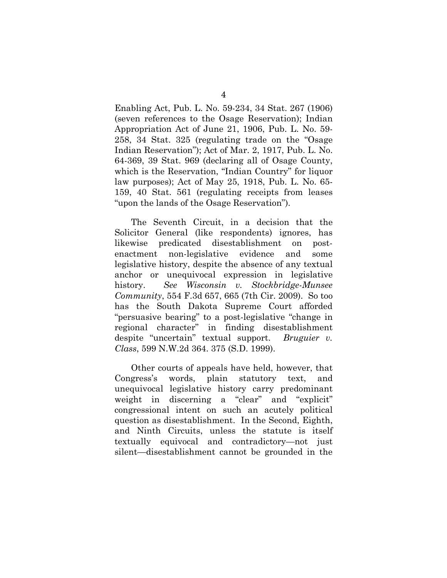<span id="page-8-4"></span><span id="page-8-2"></span>Enabling Act, Pub. L. No. 59-234, 34 Stat. 267 (1906) (seven references to the Osage Reservation); Indian Appropriation Act of June 21, 1906, Pub. L. No. 59- 258, 34 Stat. 325 (regulating trade on the "Osage Indian Reservation"); Act of Mar. 2, 1917, Pub. L. No. 64-369, 39 Stat. 969 (declaring all of Osage County, which is the Reservation, "Indian Country" for liquor law purposes); Act of May 25, 1918, Pub. L. No. 65- 159, 40 Stat. 561 (regulating receipts from leases "upon the lands of the Osage Reservation").

<span id="page-8-3"></span><span id="page-8-1"></span>The Seventh Circuit, in a decision that the Solicitor General (like respondents) ignores, has likewise predicated disestablishment on postenactment non-legislative evidence and some legislative history, despite the absence of any textual anchor or unequivocal expression in legislative history. *See Wisconsin v. Stockbridge-Munsee Community*, 554 F.3d 657, 665 (7th Cir. 2009). So too has the South Dakota Supreme Court afforded "persuasive bearing" to a post-legislative "change in regional character" in finding disestablishment despite "uncertain" textual support. *Bruguier v. Class*, 599 N.W.2d 364. 375 (S.D. 1999).

<span id="page-8-0"></span>Other courts of appeals have held, however, that Congress's words, plain statutory text, and unequivocal legislative history carry predominant weight in discerning a "clear" and "explicit" congressional intent on such an acutely political question as disestablishment. In the Second, Eighth, and Ninth Circuits, unless the statute is itself textually equivocal and contradictory—not just silent—disestablishment cannot be grounded in the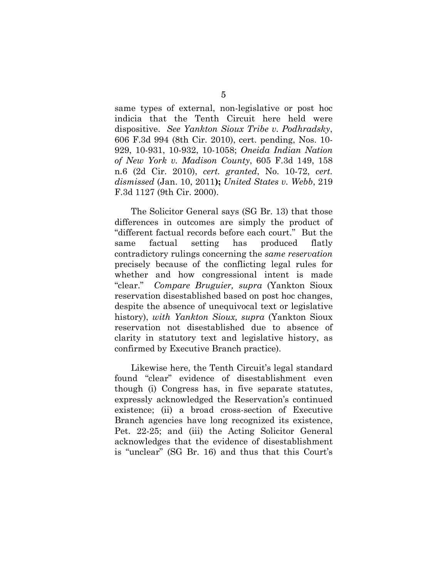<span id="page-9-2"></span><span id="page-9-0"></span>same types of external, non-legislative or post hoc indicia that the Tenth Circuit here held were dispositive. *See Yankton Sioux Tribe v. Podhradsky*, 606 F.3d 994 (8th Cir. 2010), cert. pending, Nos. 10- 929, 10-931, 10-932, 10-1058; *Oneida Indian Nation of New York v. Madison County*, 605 F.3d 149, 158 n.6 (2d Cir. 2010), *cert. granted*, No. 10-72, *cert. dismissed* (Jan. 10, 2011**);** *United States v. Webb*, 219 F.3d 1127 (9th Cir. 2000).

<span id="page-9-1"></span>The Solicitor General says (SG Br. 13) that those differences in outcomes are simply the product of "different factual records before each court." But the same factual setting has produced flatly contradictory rulings concerning the *same reservation* precisely because of the conflicting legal rules for whether and how congressional intent is made "clear." *Compare Bruguier, supra* (Yankton Sioux reservation disestablished based on post hoc changes, despite the absence of unequivocal text or legislative history), *with Yankton Sioux, supra* (Yankton Sioux reservation not disestablished due to absence of clarity in statutory text and legislative history, as confirmed by Executive Branch practice).

Likewise here, the Tenth Circuit's legal standard found "clear" evidence of disestablishment even though (i) Congress has, in five separate statutes, expressly acknowledged the Reservation's continued existence; (ii) a broad cross-section of Executive Branch agencies have long recognized its existence, Pet. 22-25; and (iii) the Acting Solicitor General acknowledges that the evidence of disestablishment is "unclear" (SG Br. 16) and thus that this Court's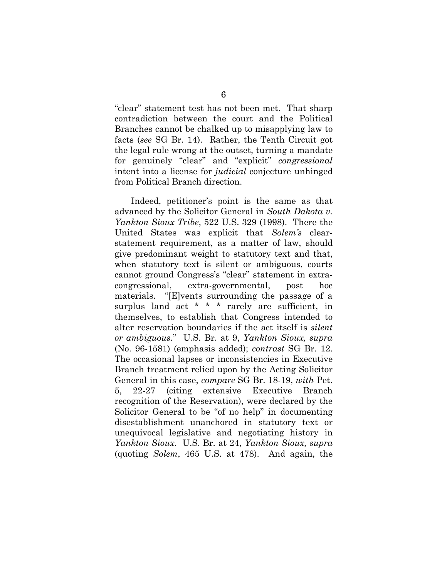"clear" statement test has not been met. That sharp contradiction between the court and the Political Branches cannot be chalked up to misapplying law to facts (*see* SG Br. 14). Rather, the Tenth Circuit got the legal rule wrong at the outset, turning a mandate for genuinely "clear" and "explicit" *congressional*  intent into a license for *judicial* conjecture unhinged from Political Branch direction.

<span id="page-10-0"></span>Indeed, petitioner's point is the same as that advanced by the Solicitor General in *South Dakota v. Yankton Sioux Tribe*, 522 U.S. 329 (1998). There the United States was explicit that *Solem's* clearstatement requirement, as a matter of law, should give predominant weight to statutory text and that, when statutory text is silent or ambiguous, courts cannot ground Congress's "clear" statement in extracongressional, extra-governmental, post hoc materials. "[E]vents surrounding the passage of a surplus land act \* \* \* rarely are sufficient, in themselves, to establish that Congress intended to alter reservation boundaries if the act itself is *silent or ambiguous*." U.S. Br. at 9, *Yankton Sioux, supra* (No. 96-1581) (emphasis added); *contrast* SG Br. 12. The occasional lapses or inconsistencies in Executive Branch treatment relied upon by the Acting Solicitor General in this case, *compare* SG Br. 18-19, *with* Pet. 5, 22-27 (citing extensive Executive Branch recognition of the Reservation), were declared by the Solicitor General to be "of no help" in documenting disestablishment unanchored in statutory text or unequivocal legislative and negotiating history in *Yankton Sioux*. U.S. Br. at 24, *Yankton Sioux, supra* (quoting *Solem*, 465 U.S. at 478). And again, the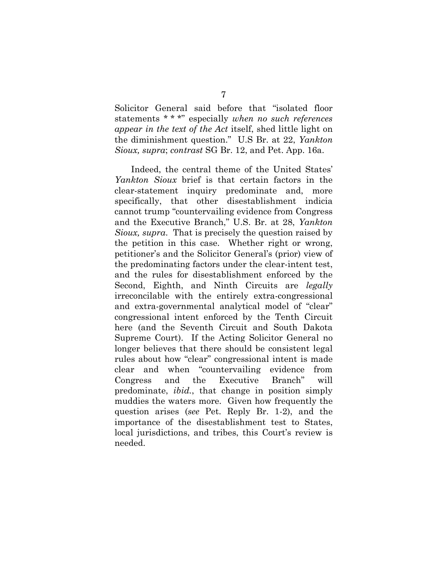Solicitor General said before that "isolated floor statements \* \* \*" especially *when no such references appear in the text of the Act* itself, shed little light on the diminishment question." U.S Br. at 22, *Yankton Sioux, supra*; *contrast* SG Br. 12, and Pet. App. 16a.

Indeed, the central theme of the United States' *Yankton Sioux* brief is that certain factors in the clear-statement inquiry predominate and, more specifically, that other disestablishment indicia cannot trump "countervailing evidence from Congress and the Executive Branch," U.S. Br. at 28, *Yankton Sioux, supra*. That is precisely the question raised by the petition in this case. Whether right or wrong, petitioner's and the Solicitor General's (prior) view of the predominating factors under the clear-intent test, and the rules for disestablishment enforced by the Second, Eighth, and Ninth Circuits are *legally*  irreconcilable with the entirely extra-congressional and extra-governmental analytical model of "clear" congressional intent enforced by the Tenth Circuit here (and the Seventh Circuit and South Dakota Supreme Court). If the Acting Solicitor General no longer believes that there should be consistent legal rules about how "clear" congressional intent is made clear and when "countervailing evidence from Congress and the Executive Branch" will predominate, *ibid.*, that change in position simply muddies the waters more. Given how frequently the question arises (*see* Pet. Reply Br. 1-2), and the importance of the disestablishment test to States, local jurisdictions, and tribes, this Court's review is needed.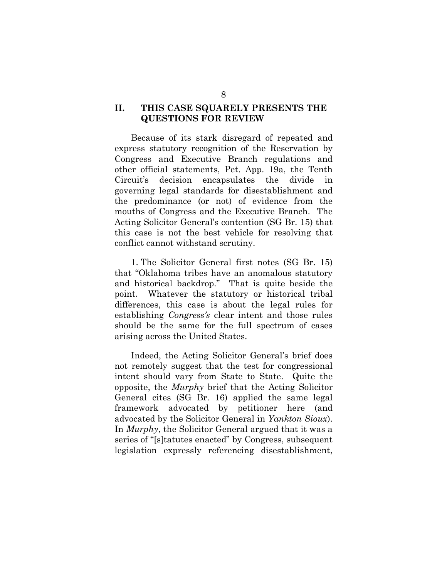#### **II. THIS CASE SQUARELY PRESENTS THE QUESTIONS FOR REVIEW**

Because of its stark disregard of repeated and express statutory recognition of the Reservation by Congress and Executive Branch regulations and other official statements, Pet. App. 19a, the Tenth Circuit's decision encapsulates the divide in governing legal standards for disestablishment and the predominance (or not) of evidence from the mouths of Congress and the Executive Branch. The Acting Solicitor General's contention (SG Br. 15) that this case is not the best vehicle for resolving that conflict cannot withstand scrutiny.

1. The Solicitor General first notes (SG Br. 15) that "Oklahoma tribes have an anomalous statutory and historical backdrop." That is quite beside the point. Whatever the statutory or historical tribal differences, this case is about the legal rules for establishing *Congress's* clear intent and those rules should be the same for the full spectrum of cases arising across the United States.

Indeed, the Acting Solicitor General's brief does not remotely suggest that the test for congressional intent should vary from State to State. Quite the opposite, the *Murphy* brief that the Acting Solicitor General cites (SG Br. 16) applied the same legal framework advocated by petitioner here (and advocated by the Solicitor General in *Yankton Sioux*). In *Murphy*, the Solicitor General argued that it was a series of "[s]tatutes enacted" by Congress, subsequent legislation expressly referencing disestablishment,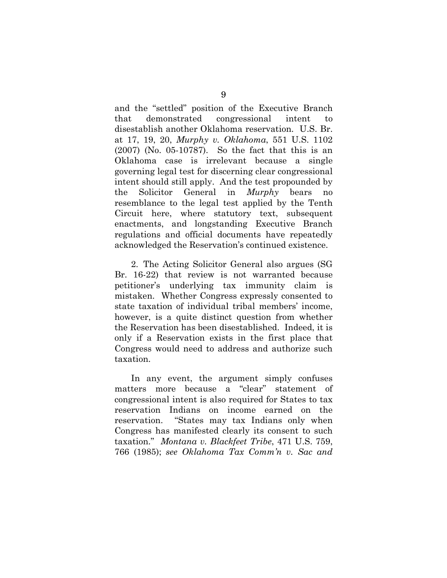<span id="page-13-1"></span>and the "settled" position of the Executive Branch that demonstrated congressional intent to disestablish another Oklahoma reservation. U.S. Br. at 17, 19, 20, *Murphy v. Oklahoma*, 551 U.S. 1102 (2007) (No. 05-10787). So the fact that this is an Oklahoma case is irrelevant because a single governing legal test for discerning clear congressional intent should still apply. And the test propounded by the Solicitor General in *Murphy* bears no resemblance to the legal test applied by the Tenth Circuit here, where statutory text, subsequent enactments, and longstanding Executive Branch regulations and official documents have repeatedly acknowledged the Reservation's continued existence.

2. The Acting Solicitor General also argues (SG Br. 16-22) that review is not warranted because petitioner's underlying tax immunity claim is mistaken. Whether Congress expressly consented to state taxation of individual tribal members' income, however, is a quite distinct question from whether the Reservation has been disestablished. Indeed, it is only if a Reservation exists in the first place that Congress would need to address and authorize such taxation.

<span id="page-13-2"></span><span id="page-13-0"></span>In any event, the argument simply confuses matters more because a "clear" statement of congressional intent is also required for States to tax reservation Indians on income earned on the reservation. "States may tax Indians only when Congress has manifested clearly its consent to such taxation." *Montana v. Blackfeet Tribe*, 471 U.S. 759, 766 (1985); *see Oklahoma Tax Comm'n v. Sac and*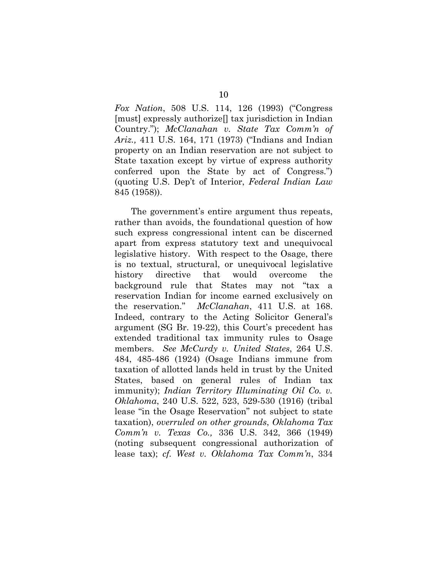*Fox Nation*, 508 U.S. 114, 126 (1993) ("Congress [must] expressly authorize[] tax jurisdiction in Indian Country."); *McClanahan v. State Tax Comm'n of Ariz.,* 411 U.S. 164, 171 (1973) ("Indians and Indian property on an Indian reservation are not subject to State taxation except by virtue of express authority conferred upon the State by act of Congress.") (quoting U.S. Dep't of Interior, *Federal Indian Law*  845 (1958)).

<span id="page-14-3"></span><span id="page-14-2"></span><span id="page-14-1"></span><span id="page-14-0"></span>The government's entire argument thus repeats, rather than avoids, the foundational question of how such express congressional intent can be discerned apart from express statutory text and unequivocal legislative history. With respect to the Osage, there is no textual, structural, or unequivocal legislative history directive that would overcome the background rule that States may not "tax a reservation Indian for income earned exclusively on the reservation." *McClanahan*, 411 U.S. at 168. Indeed, contrary to the Acting Solicitor General's argument (SG Br. 19-22), this Court's precedent has extended traditional tax immunity rules to Osage members. *See McCurdy v. United States*, 264 U.S. 484, 485-486 (1924) (Osage Indians immune from taxation of allotted lands held in trust by the United States, based on general rules of Indian tax immunity); *Indian Territory Illuminating Oil Co. v. Oklahoma*, 240 U.S. 522, 523, 529-530 (1916) (tribal lease "in the Osage Reservation" not subject to state taxation), *overruled on other grounds*, *Oklahoma Tax Comm'n v. Texas Co.,* 336 U.S. 342, 366 (1949) (noting subsequent congressional authorization of lease tax); *cf. West v. Oklahoma Tax Comm'n*, 334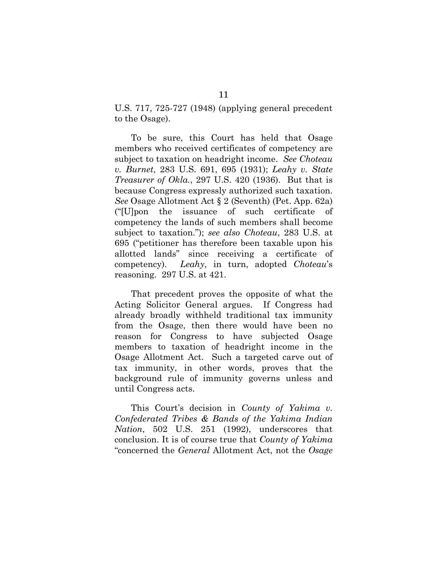U.S. 717, 725-727 (1948) (applying general precedent to the Osage).

<span id="page-15-2"></span><span id="page-15-0"></span>To be sure, this Court has held that Osage members who received certificates of competency are subject to taxation on headright income. *See Choteau v. Burnet*, 283 U.S. 691, 695 (1931); *Leahy v. State Treasurer of Okla.*, 297 U.S. 420 (1936). But that is because Congress expressly authorized such taxation. *See* Osage Allotment Act § 2 (Seventh) (Pet. App. 62a) ("[U]pon the issuance of such certificate of competency the lands of such members shall become subject to taxation."); *see also Choteau*, 283 U.S. at 695 ("petitioner has therefore been taxable upon his allotted lands" since receiving a certificate of competency). *Leahy*, in turn, adopted *Choteau*'s reasoning. 297 U.S. at 421.

That precedent proves the opposite of what the Acting Solicitor General argues. If Congress had already broadly withheld traditional tax immunity from the Osage, then there would have been no reason for Congress to have subjected Osage members to taxation of headright income in the Osage Allotment Act. Such a targeted carve out of tax immunity, in other words, proves that the background rule of immunity governs unless and until Congress acts.

<span id="page-15-1"></span>This Court's decision in *County of Yakima v. Confederated Tribes & Bands of the Yakima Indian Nation*, 502 U.S. 251 (1992), underscores that conclusion. It is of course true that *County of Yakima* "concerned the *General* Allotment Act, not the *Osage*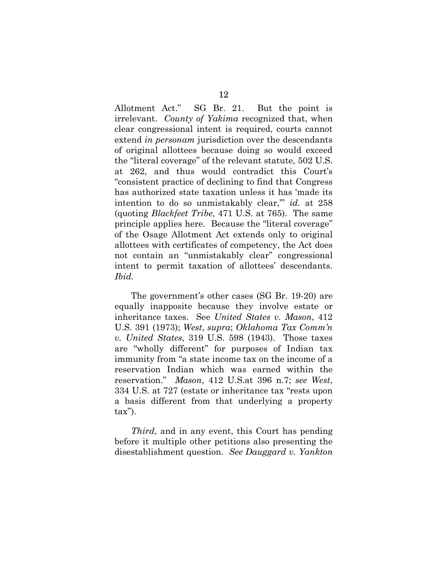Allotment Act." SG Br. 21. But the point is irrelevant. *County of Yakima* recognized that, when clear congressional intent is required, courts cannot extend *in personam* jurisdiction over the descendants of original allottees because doing so would exceed the "literal coverage" of the relevant statute, 502 U.S. at 262, and thus would contradict this Court's "consistent practice of declining to find that Congress has authorized state taxation unless it has 'made its intention to do so unmistakably clear," *id.* at 258 (quoting *Blackfeet Tribe*, 471 U.S. at 765). The same principle applies here. Because the "literal coverage" of the Osage Allotment Act extends only to original allottees with certificates of competency, the Act does not contain an "unmistakably clear" congressional intent to permit taxation of allottees' descendants. *Ibid.*

<span id="page-16-2"></span><span id="page-16-1"></span><span id="page-16-0"></span>The government's other cases (SG Br. 19-20) are equally inapposite because they involve estate or inheritance taxes. See *United States v. Mason*, 412 U.S. 391 (1973); *West*, *supra*; *Oklahoma Tax Comm'n v. United States*, 319 U.S. 598 (1943). Those taxes are "wholly different" for purposes of Indian tax immunity from "a state income tax on the income of a reservation Indian which was earned within the reservation." *Mason*, 412 U.S.at 396 n.7; *see West*, 334 U.S. at 727 (estate or inheritance tax "rests upon a basis different from that underlying a property tax").

*Third*, and in any event, this Court has pending before it multiple other petitions also presenting the disestablishment question. *See Dauggard v. Yankton*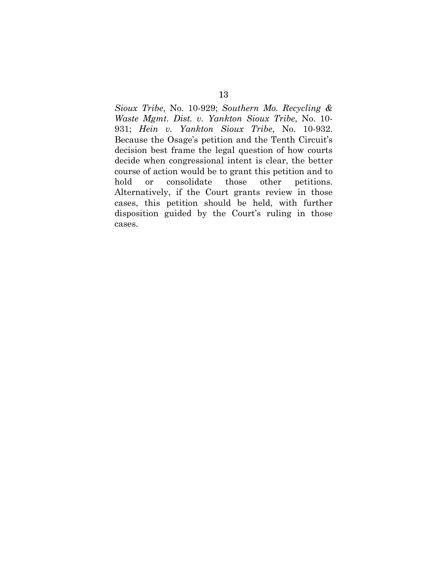*Sioux Tribe*, No. 10-929; *Southern Mo. Recycling & Waste Mgmt. Dist. v. Yankton Sioux Tribe*, No. 10- 931; *Hein v. Yankton Sioux Tribe*, No. 10-932. Because the Osage's petition and the Tenth Circuit's decision best frame the legal question of how courts decide when congressional intent is clear, the better course of action would be to grant this petition and to hold or consolidate those other petitions. Alternatively, if the Court grants review in those cases, this petition should be held, with further disposition guided by the Court's ruling in those cases.